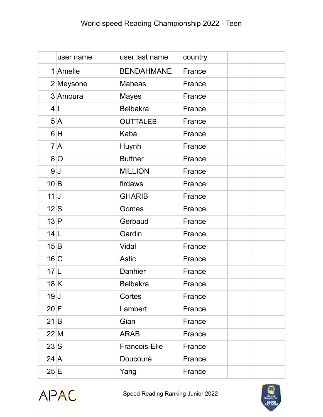|                  | user name | user last name       | country |  |
|------------------|-----------|----------------------|---------|--|
|                  | 1 Amelle  | <b>BENDAHMANE</b>    | France  |  |
|                  | 2 Meysone | <b>Maheas</b>        | France  |  |
|                  | 3 Amoura  | <b>Mayes</b>         | France  |  |
| 4 1              |           | <b>Belbakra</b>      | France  |  |
|                  | 5 A       | <b>OUTTALEB</b>      | France  |  |
|                  | 6 H       | Kaba                 | France  |  |
|                  | 7A        | Huynh                | France  |  |
|                  | 8 O       | <b>Buttner</b>       | France  |  |
|                  | 9J        | <b>MILLION</b>       | France  |  |
| 10 B             |           | firdaws              | France  |  |
| 11               |           | <b>GHARIB</b>        | France  |  |
| 12S              |           | Gomes                | France  |  |
| 13 P             |           | Gerbaud              | France  |  |
| 14 L             |           | Gardin               | France  |  |
| 15 B             |           | Vidal                | France  |  |
| 16 C             |           | <b>Astic</b>         | France  |  |
| 17 L             |           | Danhier              | France  |  |
| 18K              |           | <b>Belbakra</b>      | France  |  |
| 19J              |           | Cortes               | France  |  |
| 20 F             |           | Lambert              | France  |  |
| 21 B             |           | Gian                 | France  |  |
| $22$ M           |           | <b>ARAB</b>          | France  |  |
| 23S              |           | <b>Francois-Elie</b> | France  |  |
| $24 \, \text{A}$ |           | Doucouré             | France  |  |
| $25 \mid E$      |           | Yang                 | France  |  |



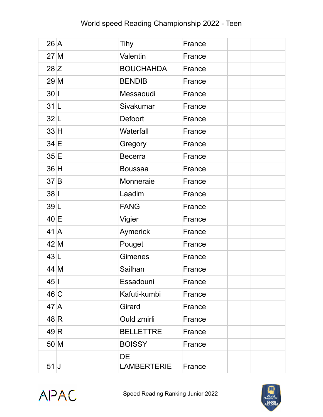## World speed Reading Championship 2022 - Teen

| 26 A             | <b>Tihy</b>              | France |  |
|------------------|--------------------------|--------|--|
| $27$ M           | Valentin                 | France |  |
| 28 Z             | <b>BOUCHAHDA</b>         | France |  |
| 29 M             | <b>BENDIB</b>            | France |  |
| 30 1             | Messaoudi                | France |  |
| 31 L             | Sivakumar                | France |  |
| 32 L             | Defoort                  | France |  |
| 33H              | Waterfall                | France |  |
| $34 \, E$        | Gregory                  | France |  |
| 35 E             | <b>Becerra</b>           | France |  |
| 36H              | <b>Boussaa</b>           | France |  |
| 37 B             | Monneraie                | France |  |
| $38$             | Laadim                   | France |  |
| 39 L             | <b>FANG</b>              | France |  |
| $40 \mid E$      | Vigier                   | France |  |
| $41 \vert A$     | Aymerick                 | France |  |
| 42 M             | Pouget                   | France |  |
| 43 L             | <b>Gimenes</b>           | France |  |
| 44 M             | Sailhan                  | France |  |
| $45$             | Essadouni                | France |  |
| 46 C             | Kafuti-kumbi             | France |  |
| $47 \, \text{A}$ | Girard                   | France |  |
| 48R              | Ould zmirli              | France |  |
| 49 R             | <b>BELLETTRE</b>         | France |  |
| 50 M             | <b>BOISSY</b>            | France |  |
| 51               | DE<br><b>LAMBERTERIE</b> | France |  |